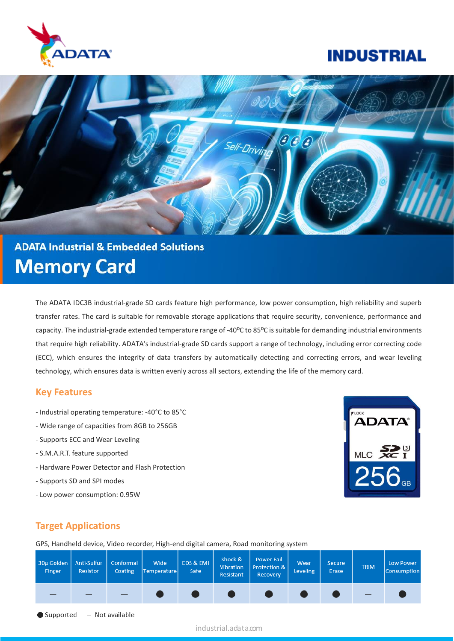

# **INDUSTRIAL**



# **ADATA Industrial & Embedded Solutions Memory Card**

The ADATA IDC3B industrial-grade SD cards feature high performance, low power consumption, high reliability and superb transfer rates. The card is suitable for removable storage applications that require security, convenience, performance and capacity. The industrial-grade extended temperature range of -40ºC to 85ºC is suitable for demanding industrial environments that require high reliability. ADATA's industrial-grade SD cards support a range of technology, including error correcting code (ECC), which ensures the integrity of data transfers by automatically detecting and correcting errors, and wear leveling technology, which ensures data is written evenly across all sectors, extending the life of the memory card.

#### **Key Features**

- Industrial operating temperature: -40°C to 85°C
- Wide range of capacities from 8GB to 256GB
- Supports ECC and Wear Leveling
- S.M.A.R.T. feature supported
- Hardware Power Detector and Flash Protection
- Supports SD and SPI modes
- Low power consumption: 0.95W



### **Target Applications**

Supported

GPS, Handheld device, Video recorder, High-end digital camera, Road monitoring system

| 30µ Golden   Anti-Sulfur  <br>Finger              | Resistor | Conformal<br>Coating | Wide<br>Temperature | EDS & EMI<br>Safe | Shock &<br>Vibration<br>Resistant | Power Fail<br>Protection &<br>Recovery | Wear<br><b>Leveling</b> | <b>Secure</b><br>Erase | <b>TRIM</b> | Low Power<br>Consumption |
|---------------------------------------------------|----------|----------------------|---------------------|-------------------|-----------------------------------|----------------------------------------|-------------------------|------------------------|-------------|--------------------------|
|                                                   |          |                      |                     |                   |                                   |                                        |                         |                        |             |                          |
| $\bullet$ Supported $\phantom{0}$ – Not available |          |                      |                     |                   |                                   |                                        |                         |                        |             |                          |

industrial.adata.com